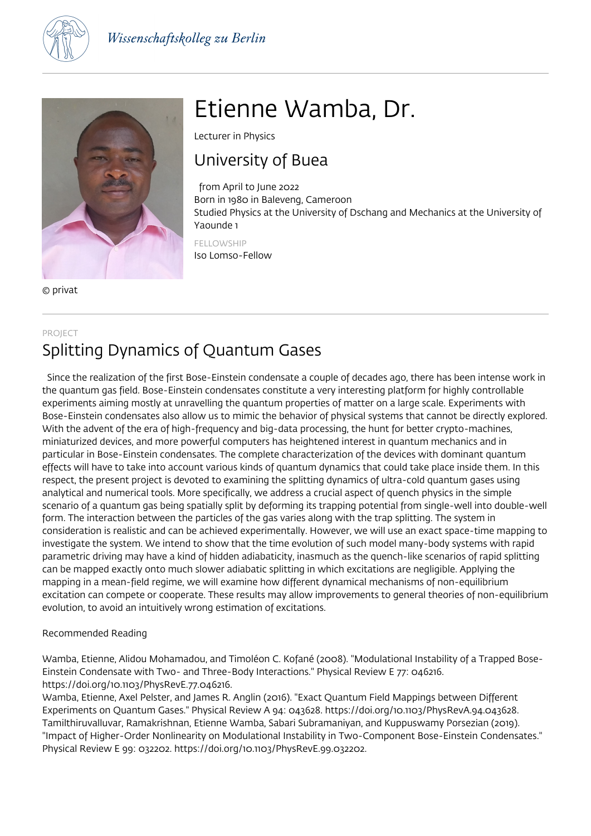



© privat

# Etienne Wamba, Dr.

Lecturer in Physics

### University of Buea

 from April to June 2022 Born in 1980 in Baleveng, Cameroon Studied Physics at the University of Dschang and Mechanics at the University of Yaounde 1

FELLOWSHIP Iso Lomso-Fellow

### PROJECT Splitting Dynamics of Quantum Gases

 Since the realization of the first Bose-Einstein condensate a couple of decades ago, there has been intense work in the quantum gas field. Bose-Einstein condensates constitute a very interesting platform for highly controllable experiments aiming mostly at unravelling the quantum properties of matter on a large scale. Experiments with Bose-Einstein condensates also allow us to mimic the behavior of physical systems that cannot be directly explored. With the advent of the era of high-frequency and big-data processing, the hunt for better crypto-machines, miniaturized devices, and more powerful computers has heightened interest in quantum mechanics and in particular in Bose-Einstein condensates. The complete characterization of the devices with dominant quantum effects will have to take into account various kinds of quantum dynamics that could take place inside them. In this respect, the present project is devoted to examining the splitting dynamics of ultra-cold quantum gases using analytical and numerical tools. More specifically, we address a crucial aspect of quench physics in the simple scenario of a quantum gas being spatially split by deforming its trapping potential from single-well into double-well form. The interaction between the particles of the gas varies along with the trap splitting. The system in consideration is realistic and can be achieved experimentally. However, we will use an exact space-time mapping to investigate the system. We intend to show that the time evolution of such model many-body systems with rapid parametric driving may have a kind of hidden adiabaticity, inasmuch as the quench-like scenarios of rapid splitting can be mapped exactly onto much slower adiabatic splitting in which excitations are negligible. Applying the mapping in a mean-field regime, we will examine how different dynamical mechanisms of non-equilibrium excitation can compete or cooperate. These results may allow improvements to general theories of non-equilibrium evolution, to avoid an intuitively wrong estimation of excitations.

#### Recommended Reading

Wamba, Etienne, Alidou Mohamadou, and Timoléon C. Kofané (2008). "Modulational Instability of a Trapped Bose-Einstein Condensate with Two- and Three-Body Interactions." Physical Review E 77: 046216. https://doi.org/10.1103/PhysRevE.77.046216.

Wamba, Etienne, Axel Pelster, and James R. Anglin (2016). "Exact Quantum Field Mappings between Different Experiments on Quantum Gases." Physical Review A 94: 043628. https://doi.org/10.1103/PhysRevA.94.043628. Tamilthiruvalluvar, Ramakrishnan, Etienne Wamba, Sabari Subramaniyan, and Kuppuswamy Porsezian (2019). "Impact of Higher-Order Nonlinearity on Modulational Instability in Two-Component Bose-Einstein Condensates." Physical Review E 99: 032202. https://doi.org/10.1103/PhysRevE.99.032202.